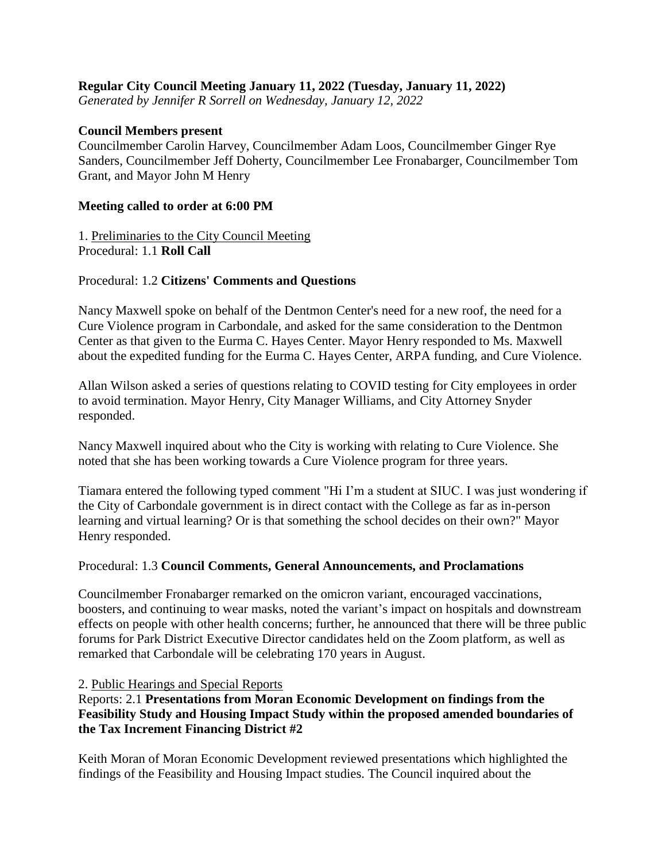## **Regular City Council Meeting January 11, 2022 (Tuesday, January 11, 2022)**

*Generated by Jennifer R Sorrell on Wednesday, January 12, 2022*

### **Council Members present**

Councilmember Carolin Harvey, Councilmember Adam Loos, Councilmember Ginger Rye Sanders, Councilmember Jeff Doherty, Councilmember Lee Fronabarger, Councilmember Tom Grant, and Mayor John M Henry

#### **Meeting called to order at 6:00 PM**

1. Preliminaries to the City Council Meeting Procedural: 1.1 **Roll Call**

### Procedural: 1.2 **Citizens' Comments and Questions**

Nancy Maxwell spoke on behalf of the Dentmon Center's need for a new roof, the need for a Cure Violence program in Carbondale, and asked for the same consideration to the Dentmon Center as that given to the Eurma C. Hayes Center. Mayor Henry responded to Ms. Maxwell about the expedited funding for the Eurma C. Hayes Center, ARPA funding, and Cure Violence.

Allan Wilson asked a series of questions relating to COVID testing for City employees in order to avoid termination. Mayor Henry, City Manager Williams, and City Attorney Snyder responded.

Nancy Maxwell inquired about who the City is working with relating to Cure Violence. She noted that she has been working towards a Cure Violence program for three years.

Tiamara entered the following typed comment "Hi I'm a student at SIUC. I was just wondering if the City of Carbondale government is in direct contact with the College as far as in-person learning and virtual learning? Or is that something the school decides on their own?" Mayor Henry responded.

#### Procedural: 1.3 **Council Comments, General Announcements, and Proclamations**

Councilmember Fronabarger remarked on the omicron variant, encouraged vaccinations, boosters, and continuing to wear masks, noted the variant's impact on hospitals and downstream effects on people with other health concerns; further, he announced that there will be three public forums for Park District Executive Director candidates held on the Zoom platform, as well as remarked that Carbondale will be celebrating 170 years in August.

#### 2. Public Hearings and Special Reports

Reports: 2.1 **Presentations from Moran Economic Development on findings from the Feasibility Study and Housing Impact Study within the proposed amended boundaries of the Tax Increment Financing District #2**

Keith Moran of Moran Economic Development reviewed presentations which highlighted the findings of the Feasibility and Housing Impact studies. The Council inquired about the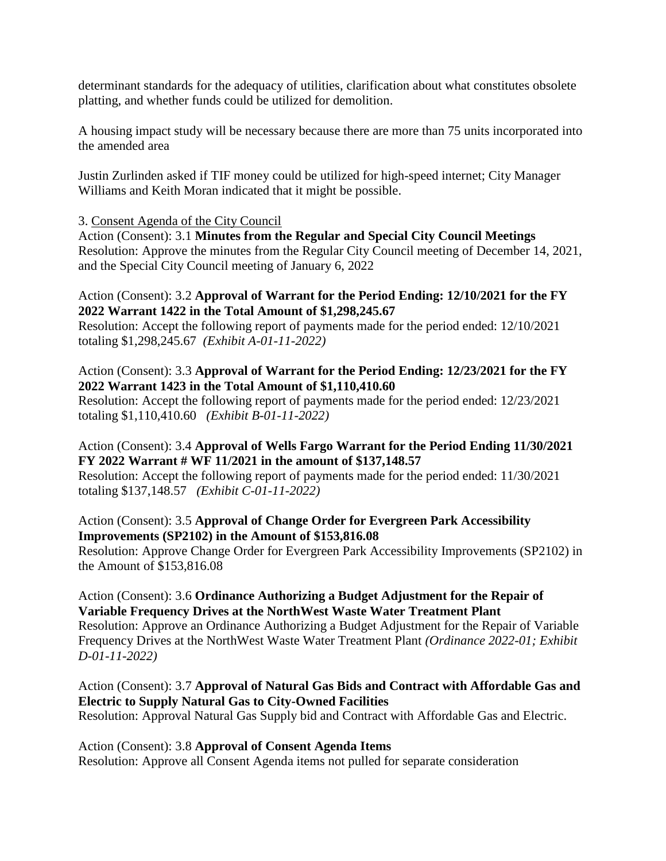determinant standards for the adequacy of utilities, clarification about what constitutes obsolete platting, and whether funds could be utilized for demolition.

A housing impact study will be necessary because there are more than 75 units incorporated into the amended area

Justin Zurlinden asked if TIF money could be utilized for high-speed internet; City Manager Williams and Keith Moran indicated that it might be possible.

## 3. Consent Agenda of the City Council

Action (Consent): 3.1 **Minutes from the Regular and Special City Council Meetings** Resolution: Approve the minutes from the Regular City Council meeting of December 14, 2021, and the Special City Council meeting of January 6, 2022

## Action (Consent): 3.2 **Approval of Warrant for the Period Ending: 12/10/2021 for the FY 2022 Warrant 1422 in the Total Amount of \$1,298,245.67**

Resolution: Accept the following report of payments made for the period ended: 12/10/2021 totaling \$1,298,245.67 *(Exhibit A-01-11-2022)*

# Action (Consent): 3.3 **Approval of Warrant for the Period Ending: 12/23/2021 for the FY 2022 Warrant 1423 in the Total Amount of \$1,110,410.60**

Resolution: Accept the following report of payments made for the period ended: 12/23/2021 totaling \$1,110,410.60 *(Exhibit B-01-11-2022)*

# Action (Consent): 3.4 **Approval of Wells Fargo Warrant for the Period Ending 11/30/2021 FY 2022 Warrant # WF 11/2021 in the amount of \$137,148.57**

Resolution: Accept the following report of payments made for the period ended: 11/30/2021 totaling \$137,148.57 *(Exhibit C-01-11-2022)*

## Action (Consent): 3.5 **Approval of Change Order for Evergreen Park Accessibility Improvements (SP2102) in the Amount of \$153,816.08**

Resolution: Approve Change Order for Evergreen Park Accessibility Improvements (SP2102) in the Amount of \$153,816.08

# Action (Consent): 3.6 **Ordinance Authorizing a Budget Adjustment for the Repair of Variable Frequency Drives at the NorthWest Waste Water Treatment Plant**

Resolution: Approve an Ordinance Authorizing a Budget Adjustment for the Repair of Variable Frequency Drives at the NorthWest Waste Water Treatment Plant *(Ordinance 2022-01; Exhibit D-01-11-2022)*

# Action (Consent): 3.7 **Approval of Natural Gas Bids and Contract with Affordable Gas and Electric to Supply Natural Gas to City-Owned Facilities**

Resolution: Approval Natural Gas Supply bid and Contract with Affordable Gas and Electric.

### Action (Consent): 3.8 **Approval of Consent Agenda Items**

Resolution: Approve all Consent Agenda items not pulled for separate consideration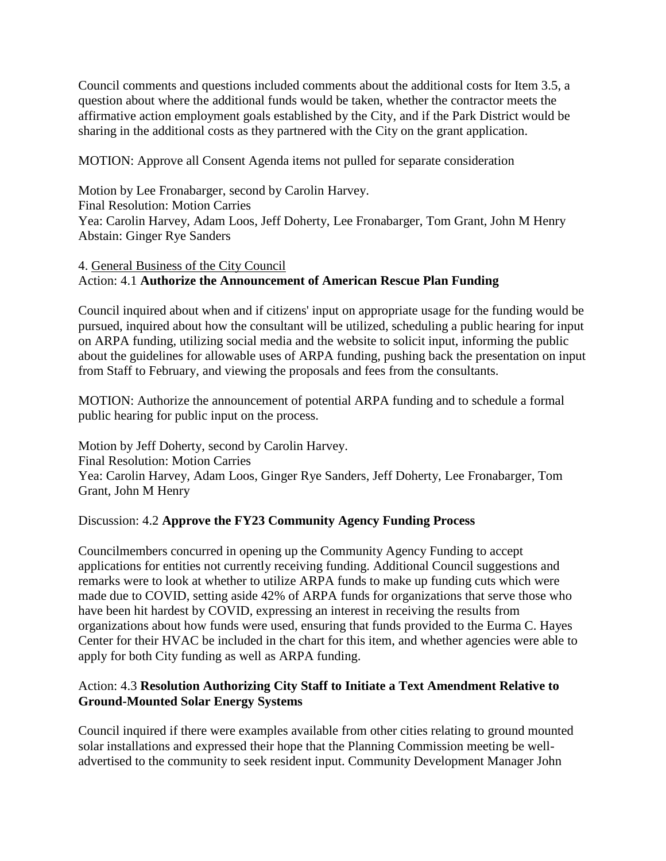Council comments and questions included comments about the additional costs for Item 3.5, a question about where the additional funds would be taken, whether the contractor meets the affirmative action employment goals established by the City, and if the Park District would be sharing in the additional costs as they partnered with the City on the grant application.

MOTION: Approve all Consent Agenda items not pulled for separate consideration

Motion by Lee Fronabarger, second by Carolin Harvey. Final Resolution: Motion Carries Yea: Carolin Harvey, Adam Loos, Jeff Doherty, Lee Fronabarger, Tom Grant, John M Henry Abstain: Ginger Rye Sanders

# 4. General Business of the City Council Action: 4.1 **Authorize the Announcement of American Rescue Plan Funding**

Council inquired about when and if citizens' input on appropriate usage for the funding would be pursued, inquired about how the consultant will be utilized, scheduling a public hearing for input on ARPA funding, utilizing social media and the website to solicit input, informing the public about the guidelines for allowable uses of ARPA funding, pushing back the presentation on input from Staff to February, and viewing the proposals and fees from the consultants.

MOTION: Authorize the announcement of potential ARPA funding and to schedule a formal public hearing for public input on the process.

Motion by Jeff Doherty, second by Carolin Harvey. Final Resolution: Motion Carries Yea: Carolin Harvey, Adam Loos, Ginger Rye Sanders, Jeff Doherty, Lee Fronabarger, Tom Grant, John M Henry

# Discussion: 4.2 **Approve the FY23 Community Agency Funding Process**

Councilmembers concurred in opening up the Community Agency Funding to accept applications for entities not currently receiving funding. Additional Council suggestions and remarks were to look at whether to utilize ARPA funds to make up funding cuts which were made due to COVID, setting aside 42% of ARPA funds for organizations that serve those who have been hit hardest by COVID, expressing an interest in receiving the results from organizations about how funds were used, ensuring that funds provided to the Eurma C. Hayes Center for their HVAC be included in the chart for this item, and whether agencies were able to apply for both City funding as well as ARPA funding.

# Action: 4.3 **Resolution Authorizing City Staff to Initiate a Text Amendment Relative to Ground-Mounted Solar Energy Systems**

Council inquired if there were examples available from other cities relating to ground mounted solar installations and expressed their hope that the Planning Commission meeting be welladvertised to the community to seek resident input. Community Development Manager John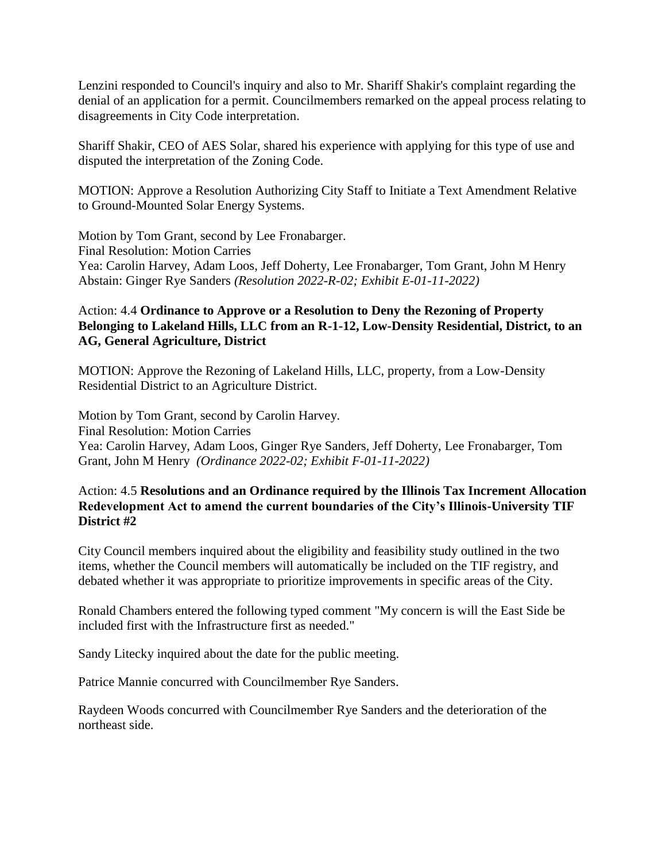Lenzini responded to Council's inquiry and also to Mr. Shariff Shakir's complaint regarding the denial of an application for a permit. Councilmembers remarked on the appeal process relating to disagreements in City Code interpretation.

Shariff Shakir, CEO of AES Solar, shared his experience with applying for this type of use and disputed the interpretation of the Zoning Code.

MOTION: Approve a Resolution Authorizing City Staff to Initiate a Text Amendment Relative to Ground-Mounted Solar Energy Systems.

Motion by Tom Grant, second by Lee Fronabarger. Final Resolution: Motion Carries Yea: Carolin Harvey, Adam Loos, Jeff Doherty, Lee Fronabarger, Tom Grant, John M Henry Abstain: Ginger Rye Sanders *(Resolution 2022-R-02; Exhibit E-01-11-2022)*

# Action: 4.4 **Ordinance to Approve or a Resolution to Deny the Rezoning of Property Belonging to Lakeland Hills, LLC from an R-1-12, Low-Density Residential, District, to an AG, General Agriculture, District**

MOTION: Approve the Rezoning of Lakeland Hills, LLC, property, from a Low-Density Residential District to an Agriculture District.

Motion by Tom Grant, second by Carolin Harvey. Final Resolution: Motion Carries Yea: Carolin Harvey, Adam Loos, Ginger Rye Sanders, Jeff Doherty, Lee Fronabarger, Tom Grant, John M Henry *(Ordinance 2022-02; Exhibit F-01-11-2022)*

## Action: 4.5 **Resolutions and an Ordinance required by the Illinois Tax Increment Allocation Redevelopment Act to amend the current boundaries of the City's Illinois-University TIF District #2**

City Council members inquired about the eligibility and feasibility study outlined in the two items, whether the Council members will automatically be included on the TIF registry, and debated whether it was appropriate to prioritize improvements in specific areas of the City.

Ronald Chambers entered the following typed comment "My concern is will the East Side be included first with the Infrastructure first as needed."

Sandy Litecky inquired about the date for the public meeting.

Patrice Mannie concurred with Councilmember Rye Sanders.

Raydeen Woods concurred with Councilmember Rye Sanders and the deterioration of the northeast side.